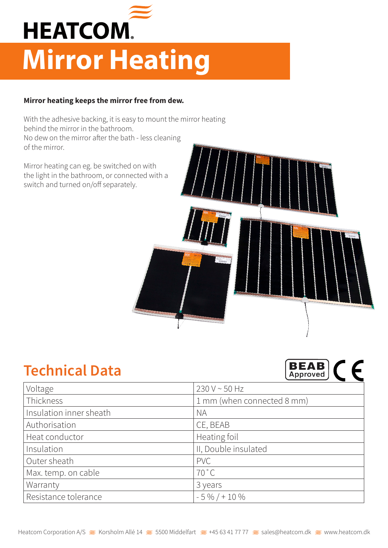

## **Mirror Heating**

## **Mirror heating keeps the mirror free from dew.**

With the adhesive backing, it is easy to mount the mirror heating behind the mirror in the bathroom. No dew on the mirror after the bath - less cleaning of the mirror.

Mirror heating can eg. be switched on with the light in the bathroom, or connected with a switch and turned on/off separately.

## **Technical Data**



| Voltage                 | 230 V ~ 50 Hz              |
|-------------------------|----------------------------|
| Thickness               | 1 mm (when connected 8 mm) |
| Insulation inner sheath | <b>NA</b>                  |
| Authorisation           | CE, BEAB                   |
| Heat conductor          | Heating foil               |
| Insulation              | II, Double insulated       |
| Outer sheath            | <b>PVC</b>                 |
| Max. temp. on cable     | $70^{\circ}$ C             |
| Warranty                | 3 years                    |
| Resistance tolerance    | $-5\% / + 10\%$            |